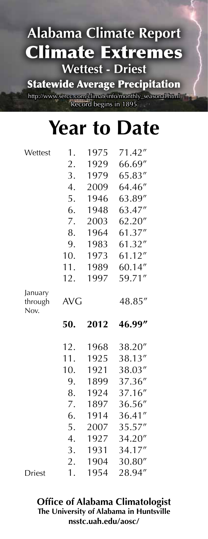Statewide Average Precipitation

http://www.sercc.com/climateinfo/monthly\_seasonal.html Record begins in 1895

# **Year to Date**

| Wettest         | 1.       | 1975         | 71.42"           |
|-----------------|----------|--------------|------------------|
|                 | 2.       | 1929         | 66.69"           |
|                 | 3.       | 1979         | 65.83"           |
|                 | 4.       | 2009         | 64.46"           |
|                 | 5.       | 1946         | 63.89"           |
|                 | 6.       | 1948         | 63.47"           |
|                 | 7.       | 2003         | 62.20"           |
|                 | 8.       | 1964         | 61.37"           |
|                 | 9.       | 1983         | 61.32"           |
|                 | 10.      | 1973         | 61.12"           |
|                 | 11.      | 1989         | 60.14"           |
|                 | 12.      | 1997         | 59.71"           |
| January         |          |              |                  |
| through<br>Nov. | AVG      |              | 48.85"           |
|                 |          |              |                  |
|                 |          |              |                  |
|                 | 50.      | 2012         | 46.99"           |
|                 |          |              |                  |
|                 | 12.      | 1968         | 38.20"           |
|                 | 11.      | 1925         | 38.13"           |
|                 | 10.      | 1921         | 38.03"           |
|                 | 9.       | 1899         | 37.36"           |
|                 | 8.       | 1924         | 37.16"           |
|                 | 7.       | 1897         | 36.56"           |
|                 | 6.       | 1914         | 36.41"           |
|                 | 5.       | 2007         | 35.57"           |
|                 | 4.       | 1927         | 34.20"           |
|                 | 3.       | 1931         | 34.17"           |
| <b>Driest</b>   | 2.<br>1. | 1904<br>1954 | 30.80"<br>28.94" |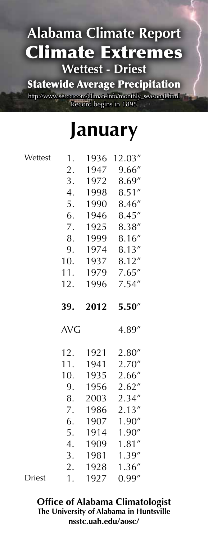Statewide Average Precipitation

http://www.sercc.com/climateinfo/monthly\_seasonal.html Record begins in 1895

# **January**

| 1.               | 1936         | 12.03"           |
|------------------|--------------|------------------|
| 2.               | 1947         | 9.66''           |
| 3.               | 1972         | 8.69"            |
| $\overline{4}$ . | 1998         | 8.51''           |
| 5.               | 1990         | 8.46''           |
| 6.               | 1946         | 8.45''           |
| 7.               | 1925         | 8.38''           |
| 8.               | 1999         | 8.16''           |
| 9.               | 1974         | 8.13''           |
| 10.              | 1937         | 8.12''           |
| 11.              | 1979         | 7.65''           |
| 12.              | 1996         | 7.54''           |
|                  |              |                  |
| 39.              | 2012         | 5.50''           |
|                  |              |                  |
| <b>AVG</b>       |              | 4.89"            |
|                  |              |                  |
| 12.<br>11.       | 1921<br>1941 | 2.80"            |
| 10.              | 1935         | 2.70''           |
| 9.               | 1956         | 2.66''           |
| 8.               | 2003         | 2.62''<br>2.34"  |
| 7.               | 1986         | 2.13''           |
| 6.               | 1907         | 1.90''           |
| 5.               | 1914         | 1.90''           |
| 4.               | 1909         | 1.81''           |
| 3.               | 1981         | 1.39''           |
| 2.               | 1928         | 1.36''<br>0.99'' |

Driest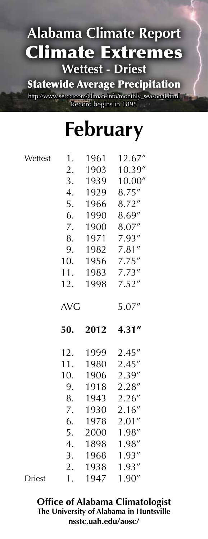Statewide Average Precipitation

http://www.sercc.com/climateinfo/monthly\_seasonal.html Record begins in 1895

# **February**

| Wettest | 1.         | 1961         | 12.67''          |
|---------|------------|--------------|------------------|
|         | 2.         | 1903         | 10.39''          |
|         | 3.         | 1939         | 10.00''          |
|         | 4.         | 1929         | 8.75''           |
|         | 5.         | 1966         | 8.72''           |
|         | 6.         | 1990         | 8.69"            |
|         | 7.         | 1900         | 8.07"            |
|         | 8.         | 1971         | 7.93''           |
|         | 9.         | 1982         | 7.81''           |
|         | 10.        | 1956         | 7.75''           |
|         | 11.        | 1983         | 7.73''           |
|         | 12.        | 1998         | 7.52''           |
|         | <b>AVG</b> |              | 5.07"            |
|         |            |              |                  |
|         | 50.        | 2012         | 4.31''           |
|         | 12.        | 1999         | 2.45''           |
|         | 11.        | 1980         | 2.45''           |
|         | 10.        | 1906         | 2.39"            |
|         | 9.         | 1918         | 2.28''           |
|         | 8.         | 1943         | 2.26''           |
|         | 7.         | 1930         | 2.16''           |
|         | 6.         | 1978         | 2.01''           |
|         | 5.         | 2000         | 1.98"            |
|         | 4.         | 1898         | 1.98"            |
|         | 3.         | 1968         | 1.93''           |
|         | 2.<br>1.   | 1938<br>1947 | 1.93''<br>1.90'' |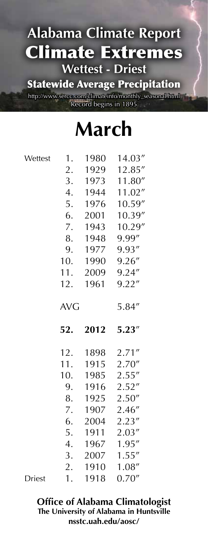Statewide Average Precipitation

http://www.sercc.com/climateinfo/monthly\_seasonal.html Record begins in 1895

# **March**

Wettes

| Wettest | 1.         | 1980 | 14.03"           |
|---------|------------|------|------------------|
|         | 2.         | 1929 | 12.85"           |
|         | 3.         | 1973 | 11.80"           |
|         | 4.         | 1944 | 11.02"           |
|         | 5.         | 1976 | 10.59"           |
|         | 6.         | 2001 | 10.39"           |
|         | 7.         | 1943 | 10.29"           |
|         | 8.         | 1948 | 9.99"            |
|         | 9.         | 1977 | 9.93"            |
|         | 10.        | 1990 | 9.26''           |
|         | 11.        | 2009 | 9.24''           |
|         | 12.        | 1961 | 9.22''           |
|         | <b>AVG</b> |      | 5.84"            |
|         |            |      |                  |
|         | 52.        | 2012 | 5.23''           |
|         | 12.        | 1898 | 2.71''           |
|         | 11.        | 1915 | 2.70''           |
|         | 10.        | 1985 | 2.55''           |
|         | 9.         | 1916 | 2.52''           |
|         | 8.         | 1925 | 2.50''           |
|         | 7.         | 1907 | 2.46''           |
|         | 6.         | 2004 | 2.23''           |
|         | 5.         | 1911 | 2.03''           |
|         | 4.         | 1967 | 1.95''           |
|         | 3.         | 2007 | 1.55''           |
|         | 2.         | 1910 | 1.08''<br>0.70'' |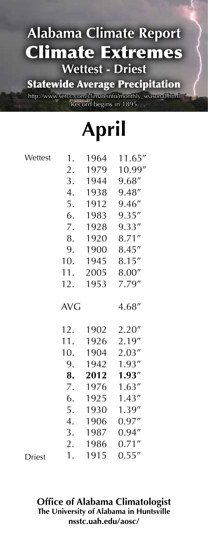Statewide Average Precipitation

http://www.sercc.com/climateinfo/monthly\_seasonal.html Record begins in 1895<br>

**April**

|               |            | 7 I I |         |
|---------------|------------|-------|---------|
| Wettest       | 1.         | 1964  | 11.65'' |
|               | 2.         | 1979  | 10.99"  |
|               | 3.         | 1944  | 9.68"   |
|               | 4.         | 1938  | 9.48"   |
|               | 5.         | 1912  | 9.46"   |
|               | 6.         | 1983  | 9.35''  |
|               | 7.         | 1928  | 9.33''  |
|               | 8.         | 1920  | 8.71''  |
|               | 9.         | 1900  | 8.45''  |
|               | 10.        | 1945  | 8.15''  |
|               | 11.        | 2005  | 8.00''  |
|               | 12.        | 1953  | 7.79"   |
|               | <b>AVG</b> |       | 4.68"   |
|               | 12.        | 1902  | 2.20''  |
|               | 11.        | 1926  | 2.19"   |
|               | 10.        | 1904  | 2.03''  |
|               | 9.         | 1942  | 1.93''  |
|               | 8.         | 2012  | 1.93''  |
|               | 7.         | 1976  | 1.63''  |
|               | 6.         | 1925  | 1.43''  |
|               | 5.         | 1930  | 1.39"   |
|               | 4.         | 1906  | 0.97''  |
|               | 3.         | 1987  | 0.94''  |
|               | 2.         | 1986  | 0.71''  |
| <b>Driest</b> | 1.         | 1915  | 0.55''  |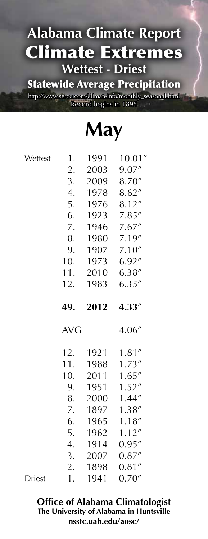Statewide Average Precipitation

http://www.sercc.com/climateinfo/monthly\_seasonal.html Record begins in 1895

**May**

|               |                  |      | 7       |
|---------------|------------------|------|---------|
| Wettest       | 1.               | 1991 | 10.01'' |
|               | 2.               | 2003 | 9.07"   |
|               | 3.               | 2009 | 8.70"   |
|               | 4.               | 1978 | 8.62''  |
|               | 5.               | 1976 | 8.12''  |
|               | 6.               | 1923 | 7.85''  |
|               | 7.               | 1946 | 7.67''  |
|               | 8.               | 1980 | 7.19"   |
|               | 9.               | 1907 | 7.10''  |
|               | 10.              | 1973 | 6.92''  |
|               | 11.              |      | 6.38''  |
|               |                  | 2010 |         |
|               | 12.              | 1983 | 6.35''  |
|               | 49.              | 2012 | 4.33"   |
|               | <b>AVG</b>       |      | 4.06"   |
|               | 12.              | 1921 | 1.81''  |
|               | 11.              | 1988 | 1.73''  |
|               | 10.              | 2011 | 1.65''  |
|               | 9.               | 1951 | 1.52''  |
|               | 8.               | 2000 | 1.44"   |
|               | 7.               | 1897 | 1.38''  |
|               | 6.               | 1965 | 1.18''  |
|               | 5.               | 1962 | 1.12''  |
|               | $\overline{4}$ . | 1914 | 0.95''  |
|               | 3.               | 2007 | 0.87''  |
|               | 2.               | 1898 | 0.81''  |
| <b>Driest</b> | 1.               | 1941 | 0.70''  |
|               |                  |      |         |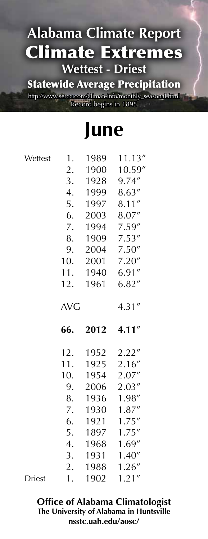### Statewide Average Precipitation

http://www.sercc.com/climateinfo/monthly\_seasonal.html Record begins in 1895

**June**

| Wettest       | 1.               | 1989 | 11.13'' |
|---------------|------------------|------|---------|
|               | 2.               | 1900 | 10.59"  |
|               | 3.               | 1928 | 9.74''  |
|               | $\overline{4}$ . | 1999 | 8.63''  |
|               | 5.               | 1997 | 8.11''  |
|               | 6.               | 2003 | 8.07"   |
|               | 7.               | 1994 | 7.59''  |
|               | 8.               | 1909 | 7.53''  |
|               | 9.               | 2004 | 7.50''  |
|               | 10.              | 2001 | 7.20''  |
|               | 11.              | 1940 | 6.91''  |
|               | 12.              | 1961 | 6.82''  |
|               | <b>AVG</b>       |      | 4.31''  |
|               | 66.              | 2012 | 4.11''  |
|               | 12.              | 1952 | 2.22''  |
|               | 11.              | 1925 | 2.16"   |
|               | 10.              | 1954 | 2.07''  |
|               | 9.               | 2006 | 2.03''  |
|               | 8.               | 1936 | 1.98"   |
|               | 7.               | 1930 | 1.87''  |
|               | 6.               | 1921 | 1.75''  |
|               | 5.               | 1897 | 1.75''  |
|               | $\overline{4}$ . | 1968 | 1.69''  |
|               | 3.               | 1931 | 1.40''  |
|               | 2.               | 1988 | 1.26''  |
| <b>Driest</b> | 1.               | 1902 | 1.21''  |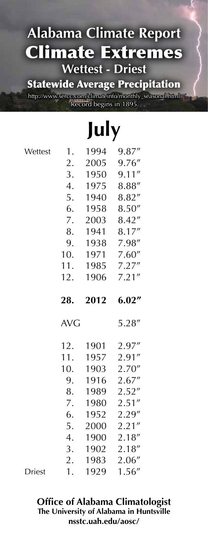Statewide Average Precipitation

http://www.sercc.com/climateinfo/monthly\_seasonal.html Record begins in 1895

# **July**

| Wettest | 1.         | 1994 | 9.87''           |
|---------|------------|------|------------------|
|         | 2.         | 2005 | 9.76''           |
|         | 3.         | 1950 | 9.11''           |
|         | 4.         | 1975 | 8.88''           |
|         | 5.         | 1940 | 8.82"            |
|         | 6.         | 1958 | 8.50''           |
|         | 7.         | 2003 | 8.42''           |
|         | 8.         | 1941 | 8.17"            |
|         | 9.         | 1938 | 7.98"            |
|         | 10.        | 1971 | 7.60''           |
|         | 11.        | 1985 | 7.27''           |
|         | 12.        | 1906 | 7.21''           |
|         | 28.        | 2012 | 6.02''           |
|         |            |      |                  |
|         | <b>AVG</b> |      | 5.28''           |
|         | 12.        | 1901 | 2.97''           |
|         | 11.        | 1957 | 2.91''           |
|         | 10.        | 1903 |                  |
|         | 9.         | 1916 | 2.70''<br>2.67'' |
|         | 8.         | 1989 | 2.52''           |
|         | 7.         | 1980 | 2.51''           |
|         | 6.         | 1952 | 2.29''           |
|         | 5.         | 2000 | 2.21''           |
|         | 4.         | 1900 | 2.18''           |
|         | 3.         | 1902 | 2.18''           |
|         | 2.         | 1983 | 2.06''<br>1.56'' |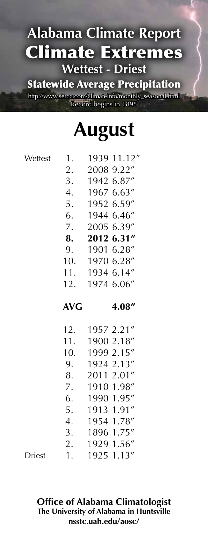Statewide Average Precipitation

http://www.sercc.com/climateinfo/monthly\_seasonal.html Record begins in 1895

# **August**

 1. 1939 11.12" 2. 2008 9.22" 3. 1942 6.87" 4. 1967 6.63" 5. 1952 6.59" 6. 1944 6.46" 7. 2005 6.39"  **8. 2012 6.31"** 9. 1901 6.28" 10. 1970 6.28" 11. 1934 6.14" 12. 1974 6.06" **AVG 4.08"** 12. 1957 2.21" 11. 1900 2.18" 10. 1999 2.15" 9. 1924 2.13" 8. 2011 2.01" 7. 1910 1.98" 6. 1990 1.95" **Wettest** 

 4. 1954 1.78" 3. 1896 1.75" 2. 1929 1.56" 1. 1925 1.13" Driest

> **Office of Alabama Climatologist The University of Alabama in Huntsville nsstc.uah.edu/aosc/**

5. 1913 1.91"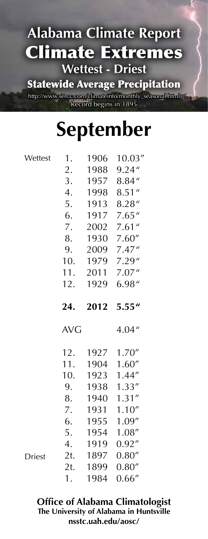Statewide Average Precipitation

http://www.sercc.com/climateinfo/monthly\_seasonal.html Record begins in 1895

# **September**

| Wettest       | 1.         | 1906 | 10.03''    |
|---------------|------------|------|------------|
|               | 2.         | 1988 | 9.24''     |
|               | 3.         | 1957 | 8.84''     |
|               | 4.         | 1998 | 8.51''     |
|               | 5.         | 1913 | 8.28''     |
|               | 6.         | 1917 | 7.65''     |
|               | 7.         | 2002 | $7.61$ "   |
|               | 8.         | 1930 | 7.60''     |
|               | 9.         | 2009 | 7.47''     |
|               | 10.        | 1979 | 7.29''     |
|               | 11.        | 2011 | 7.07''     |
|               | 12.        | 1929 | 6.98''     |
|               | 24.        | 2012 | 5.55''     |
|               |            |      |            |
|               | <b>AVG</b> |      | 4.04''     |
|               | 12.        |      | 1927 1.70" |
|               | 11.        | 1904 | 1.60''     |
|               | 10.        | 1923 | 1.44''     |
|               | 9.         | 1938 | 1.33''     |
|               | 8.         | 1940 | 1.31''     |
|               | 7.         | 1931 | 1.10''     |
|               | 6.         | 1955 | 1.09''     |
|               | 5.         | 1954 | 1.08''     |
|               | 4.         | 1919 | 0.92''     |
| <b>Driest</b> | 2t.        | 1897 | 0.80''     |
|               | 2t.        | 1899 | 0.80''     |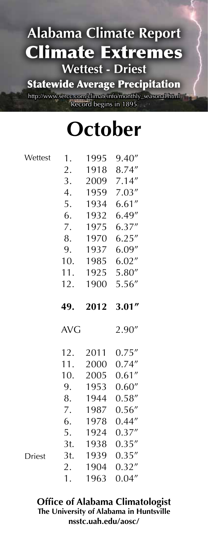Statewide Average Precipitation

http://www.sercc.com/climateinfo/monthly\_seasonal.html Record begins in 1895

# **October**

| Wettest       | 1.         | 1995 | 9.40'' |
|---------------|------------|------|--------|
|               | 2.         | 1918 | 8.74"  |
|               | 3.         | 2009 | 7.14'' |
|               | 4.         | 1959 | 7.03'' |
|               | 5.         | 1934 | 6.61'' |
|               | 6.         | 1932 | 6.49'' |
|               | 7.         | 1975 | 6.37'' |
|               | 8.         | 1970 | 6.25'' |
|               | 9.         | 1937 | 6.09'' |
|               | 10.        | 1985 | 6.02'' |
|               | 11.        | 1925 | 5.80'' |
|               | 12.        | 1900 | 5.56'' |
|               |            |      |        |
|               | 49.        | 2012 | 3.01'' |
|               |            |      |        |
|               | <b>AVG</b> |      | 2.90"  |
|               | 12.        | 2011 | 0.75'' |
|               | 11.        | 2000 | 0.74'' |
|               | 10.        | 2005 | 0.61'' |
|               | 9.         | 1953 | 0.60'' |
|               | 8.         | 1944 | 0.58'' |
|               | 7.         | 1987 | 0.56'' |
|               | 6.         | 1978 | 0.44'' |
|               | 5.         | 1924 | 0.37'' |
|               | 3t.        | 1938 | 0.35'' |
| <b>Driest</b> | 3t.        | 1939 | 0.35'' |
|               | 2.         | 1904 | 0.32'' |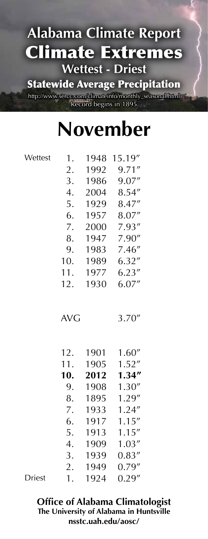Statewide Average Precipitation

http://www.sercc.com/climateinfo/monthly\_seasonal.html Record begins in 1895

# **November**

| Wettest       | 1.         | 1948 | 15.19" |
|---------------|------------|------|--------|
|               | 2.         | 1992 | 9.71'' |
|               | 3.         | 1986 | 9.07'' |
|               | 4.         | 2004 | 8.54'' |
|               | 5.         | 1929 | 8.47"  |
|               | 6.         | 1957 | 8.07"  |
|               | 7.         | 2000 | 7.93"  |
|               | 8.         | 1947 | 7.90"  |
|               | 9.         | 1983 | 7.46'' |
|               | 10.        | 1989 | 6.32'' |
|               | 11.        | 1977 | 6.23'' |
|               | 12.        | 1930 | 6.07'' |
|               | <b>AVG</b> |      | 3.70'' |
|               | 12.        | 1901 | 1.60'' |
|               | 11.        | 1905 | 1.52'' |
|               | 10.        | 2012 | 1.34'' |
|               | 9.         | 1908 | 1.30'' |
|               | 8.         | 1895 | 1.29"  |
|               | 7.         | 1933 | 1.24'' |
|               | 6.         | 1917 | 1.15'' |
|               | 5.         | 1913 | 1.15'' |
|               | 4.         | 1909 | 1.03'' |
|               | 3.         | 1939 | 0.83'' |
|               | 2.         | 1949 | 0.79'' |
| <b>Driest</b> | 1.         | 1924 | 0.29'' |

Driest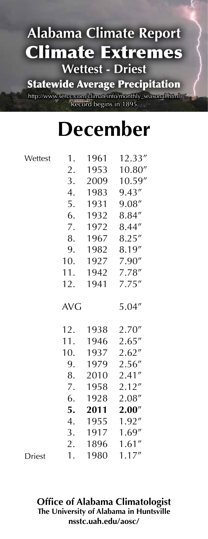Statewide Average Precipitation

http://www.sercc.com/climateinfo/monthly\_seasonal.html Record begins in 1895

# **December**

**Wettest** 

Driest

| $\overline{\phantom{a}}$ | 1.         | 1961 | 12.33"  |
|--------------------------|------------|------|---------|
|                          | 2.         | 1953 | 10.80'' |
|                          | 3.         | 2009 | 10.59'' |
|                          | 4.         | 1983 | 9.43''  |
|                          | 5.         | 1931 | 9.08''  |
|                          | 6.         | 1932 | 8.84''  |
|                          | 7.         | 1972 | 8.44"   |
|                          | 8.         | 1967 | 8.25''  |
|                          | 9.         | 1982 | 8.19''  |
|                          | 10.        | 1927 | 7.90''  |
|                          | 11.        | 1942 | 7.78''  |
|                          | 12.        | 1941 | 7.75''  |
|                          | <b>AVG</b> |      | 5.04''  |
|                          | 12.        | 1938 | 2.70''  |
|                          | 11.        | 1946 | 2.65''  |
|                          | 10.        | 1937 | 2.62''  |
|                          | 9.         | 1979 | 2.56''  |
|                          | 8.         | 2010 | 2.41''  |
|                          | 7.         | 1958 | 2.12''  |
|                          | 6.         | 1928 | 2.08''  |
|                          | 5.         | 2011 | 2.00''  |
|                          | 4.         | 1955 | 1.92''  |
|                          | 3.         | 1917 | 1.69''  |
|                          | 2.         | 1896 | 1.61''  |
|                          | 1.         | 1980 | 1.17''  |
|                          |            |      |         |